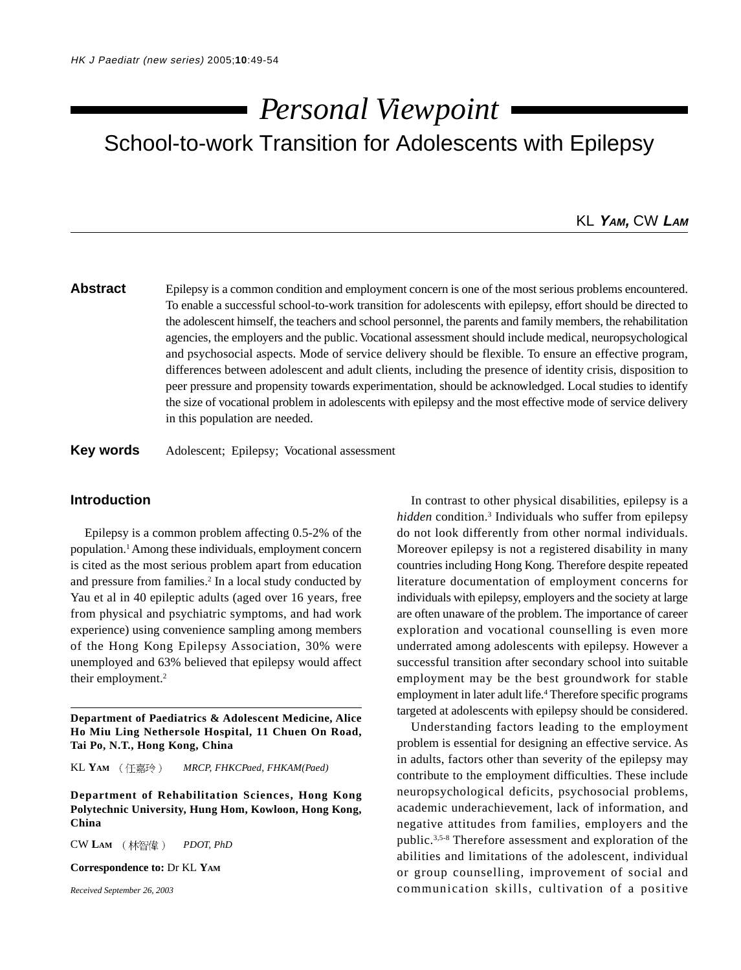# School-to-work Transition for Adolescents with Epilepsy *Personal Viewpoint*

## KL **YAM,** CW **LAM**

# **Abstract** Epilepsy is a common condition and employment concern is one of the most serious problems encountered. To enable a successful school-to-work transition for adolescents with epilepsy, effort should be directed to the adolescent himself, the teachers and school personnel, the parents and family members, the rehabilitation agencies, the employers and the public. Vocational assessment should include medical, neuropsychological and psychosocial aspects. Mode of service delivery should be flexible. To ensure an effective program, differences between adolescent and adult clients, including the presence of identity crisis, disposition to peer pressure and propensity towards experimentation, should be acknowledged. Local studies to identify the size of vocational problem in adolescents with epilepsy and the most effective mode of service delivery in this population are needed.

### **Key words** Adolescent; Epilepsy; Vocational assessment

### **Introduction**

Epilepsy is a common problem affecting 0.5-2% of the population.1 Among these individuals, employment concern is cited as the most serious problem apart from education and pressure from families.<sup>2</sup> In a local study conducted by Yau et al in 40 epileptic adults (aged over 16 years, free from physical and psychiatric symptoms, and had work experience) using convenience sampling among members of the Hong Kong Epilepsy Association, 30% were unemployed and 63% believed that epilepsy would affect their employment.<sup>2</sup>

**Department of Paediatrics & Adolescent Medicine, Alice Ho Miu Ling Nethersole Hospital, 11 Chuen On Road, Tai Po, N.T., Hong Kong, China**

KL YAM (任嘉玲) MRCP, FHKCPaed, FHKAM(Paed)

**Department of Rehabilitation Sciences, Hong Kong Polytechnic University, Hung Hom, Kowloon, Hong Kong, China**

CW LAM (林智偉) PDOT, PhD

**Correspondence to:** Dr KL **YAM**

*Received September 26, 2003*

In contrast to other physical disabilities, epilepsy is a *hidden* condition.3 Individuals who suffer from epilepsy do not look differently from other normal individuals. Moreover epilepsy is not a registered disability in many countries including Hong Kong. Therefore despite repeated literature documentation of employment concerns for individuals with epilepsy, employers and the society at large are often unaware of the problem. The importance of career exploration and vocational counselling is even more underrated among adolescents with epilepsy. However a successful transition after secondary school into suitable employment may be the best groundwork for stable employment in later adult life.<sup>4</sup> Therefore specific programs targeted at adolescents with epilepsy should be considered.

Understanding factors leading to the employment problem is essential for designing an effective service. As in adults, factors other than severity of the epilepsy may contribute to the employment difficulties. These include neuropsychological deficits, psychosocial problems, academic underachievement, lack of information, and negative attitudes from families, employers and the public.3,5-8 Therefore assessment and exploration of the abilities and limitations of the adolescent, individual or group counselling, improvement of social and communication skills, cultivation of a positive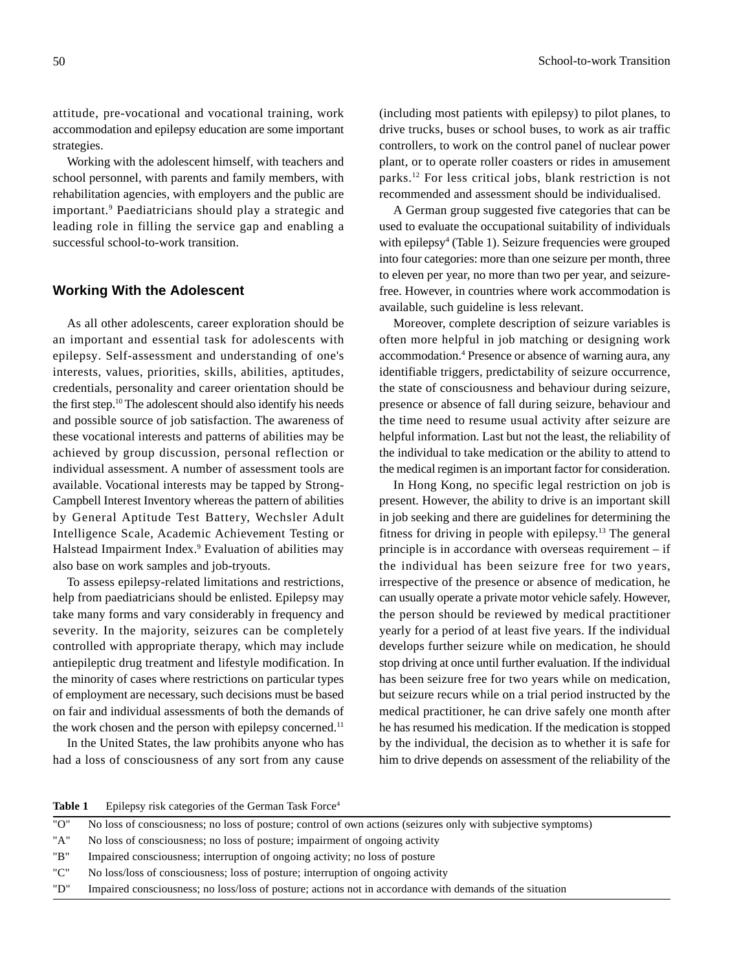attitude, pre-vocational and vocational training, work accommodation and epilepsy education are some important strategies.

Working with the adolescent himself, with teachers and school personnel, with parents and family members, with rehabilitation agencies, with employers and the public are important.9 Paediatricians should play a strategic and leading role in filling the service gap and enabling a successful school-to-work transition.

#### **Working With the Adolescent**

As all other adolescents, career exploration should be an important and essential task for adolescents with epilepsy. Self-assessment and understanding of one's interests, values, priorities, skills, abilities, aptitudes, credentials, personality and career orientation should be the first step.10 The adolescent should also identify his needs and possible source of job satisfaction. The awareness of these vocational interests and patterns of abilities may be achieved by group discussion, personal reflection or individual assessment. A number of assessment tools are available. Vocational interests may be tapped by Strong-Campbell Interest Inventory whereas the pattern of abilities by General Aptitude Test Battery, Wechsler Adult Intelligence Scale, Academic Achievement Testing or Halstead Impairment Index.<sup>9</sup> Evaluation of abilities may also base on work samples and job-tryouts.

To assess epilepsy-related limitations and restrictions, help from paediatricians should be enlisted. Epilepsy may take many forms and vary considerably in frequency and severity. In the majority, seizures can be completely controlled with appropriate therapy, which may include antiepileptic drug treatment and lifestyle modification. In the minority of cases where restrictions on particular types of employment are necessary, such decisions must be based on fair and individual assessments of both the demands of the work chosen and the person with epilepsy concerned.<sup>11</sup>

In the United States, the law prohibits anyone who has had a loss of consciousness of any sort from any cause

(including most patients with epilepsy) to pilot planes, to drive trucks, buses or school buses, to work as air traffic controllers, to work on the control panel of nuclear power plant, or to operate roller coasters or rides in amusement parks.12 For less critical jobs, blank restriction is not recommended and assessment should be individualised.

A German group suggested five categories that can be used to evaluate the occupational suitability of individuals with epilepsy<sup>4</sup> (Table 1). Seizure frequencies were grouped into four categories: more than one seizure per month, three to eleven per year, no more than two per year, and seizurefree. However, in countries where work accommodation is available, such guideline is less relevant.

Moreover, complete description of seizure variables is often more helpful in job matching or designing work accommodation.4 Presence or absence of warning aura, any identifiable triggers, predictability of seizure occurrence, the state of consciousness and behaviour during seizure, presence or absence of fall during seizure, behaviour and the time need to resume usual activity after seizure are helpful information. Last but not the least, the reliability of the individual to take medication or the ability to attend to the medical regimen is an important factor for consideration.

In Hong Kong, no specific legal restriction on job is present. However, the ability to drive is an important skill in job seeking and there are guidelines for determining the fitness for driving in people with epilepsy.13 The general principle is in accordance with overseas requirement – if the individual has been seizure free for two years, irrespective of the presence or absence of medication, he can usually operate a private motor vehicle safely. However, the person should be reviewed by medical practitioner yearly for a period of at least five years. If the individual develops further seizure while on medication, he should stop driving at once until further evaluation. If the individual has been seizure free for two years while on medication, but seizure recurs while on a trial period instructed by the medical practitioner, he can drive safely one month after he has resumed his medication. If the medication is stopped by the individual, the decision as to whether it is safe for him to drive depends on assessment of the reliability of the

#### Table 1 Epilepsy risk categories of the German Task Force<sup>4</sup>

|  |  |  |  |  |  | "O" No loss of consciousness; no loss of posture; control of own actions (seizures only with subjective symptoms) |
|--|--|--|--|--|--|-------------------------------------------------------------------------------------------------------------------|
|  |  |  |  |  |  |                                                                                                                   |

- "A" No loss of consciousness; no loss of posture; impairment of ongoing activity
- "B" Impaired consciousness; interruption of ongoing activity; no loss of posture
- "C" No loss/loss of consciousness; loss of posture; interruption of ongoing activity
- "D" Impaired consciousness; no loss/loss of posture; actions not in accordance with demands of the situation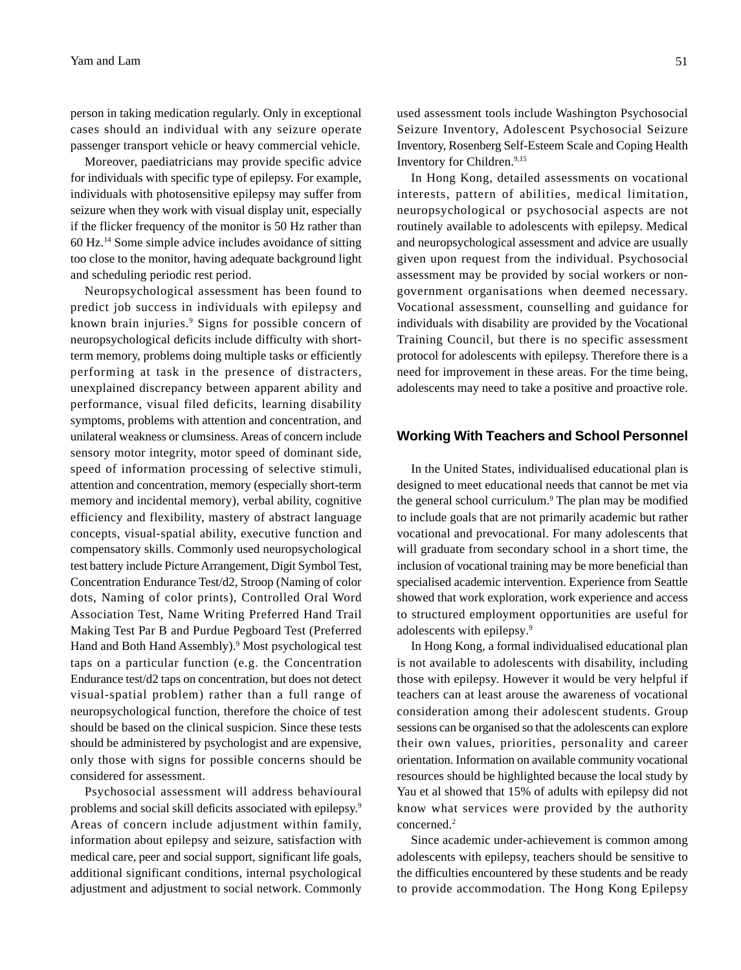person in taking medication regularly. Only in exceptional cases should an individual with any seizure operate passenger transport vehicle or heavy commercial vehicle.

Moreover, paediatricians may provide specific advice for individuals with specific type of epilepsy. For example, individuals with photosensitive epilepsy may suffer from seizure when they work with visual display unit, especially if the flicker frequency of the monitor is 50 Hz rather than 60 Hz.14 Some simple advice includes avoidance of sitting too close to the monitor, having adequate background light and scheduling periodic rest period.

Neuropsychological assessment has been found to predict job success in individuals with epilepsy and known brain injuries.9 Signs for possible concern of neuropsychological deficits include difficulty with shortterm memory, problems doing multiple tasks or efficiently performing at task in the presence of distracters, unexplained discrepancy between apparent ability and performance, visual filed deficits, learning disability symptoms, problems with attention and concentration, and unilateral weakness or clumsiness. Areas of concern include sensory motor integrity, motor speed of dominant side, speed of information processing of selective stimuli, attention and concentration, memory (especially short-term memory and incidental memory), verbal ability, cognitive efficiency and flexibility, mastery of abstract language concepts, visual-spatial ability, executive function and compensatory skills. Commonly used neuropsychological test battery include Picture Arrangement, Digit Symbol Test, Concentration Endurance Test/d2, Stroop (Naming of color dots, Naming of color prints), Controlled Oral Word Association Test, Name Writing Preferred Hand Trail Making Test Par B and Purdue Pegboard Test (Preferred Hand and Both Hand Assembly).<sup>9</sup> Most psychological test taps on a particular function (e.g. the Concentration Endurance test/d2 taps on concentration, but does not detect visual-spatial problem) rather than a full range of neuropsychological function, therefore the choice of test should be based on the clinical suspicion. Since these tests should be administered by psychologist and are expensive, only those with signs for possible concerns should be considered for assessment.

Psychosocial assessment will address behavioural problems and social skill deficits associated with epilepsy.9 Areas of concern include adjustment within family, information about epilepsy and seizure, satisfaction with medical care, peer and social support, significant life goals, additional significant conditions, internal psychological adjustment and adjustment to social network. Commonly used assessment tools include Washington Psychosocial Seizure Inventory, Adolescent Psychosocial Seizure Inventory, Rosenberg Self-Esteem Scale and Coping Health Inventory for Children.9,15

In Hong Kong, detailed assessments on vocational interests, pattern of abilities, medical limitation, neuropsychological or psychosocial aspects are not routinely available to adolescents with epilepsy. Medical and neuropsychological assessment and advice are usually given upon request from the individual. Psychosocial assessment may be provided by social workers or nongovernment organisations when deemed necessary. Vocational assessment, counselling and guidance for individuals with disability are provided by the Vocational Training Council, but there is no specific assessment protocol for adolescents with epilepsy. Therefore there is a need for improvement in these areas. For the time being, adolescents may need to take a positive and proactive role.

#### **Working With Teachers and School Personnel**

In the United States, individualised educational plan is designed to meet educational needs that cannot be met via the general school curriculum.<sup>9</sup> The plan may be modified to include goals that are not primarily academic but rather vocational and prevocational. For many adolescents that will graduate from secondary school in a short time, the inclusion of vocational training may be more beneficial than specialised academic intervention. Experience from Seattle showed that work exploration, work experience and access to structured employment opportunities are useful for adolescents with epilepsy.9

In Hong Kong, a formal individualised educational plan is not available to adolescents with disability, including those with epilepsy. However it would be very helpful if teachers can at least arouse the awareness of vocational consideration among their adolescent students. Group sessions can be organised so that the adolescents can explore their own values, priorities, personality and career orientation. Information on available community vocational resources should be highlighted because the local study by Yau et al showed that 15% of adults with epilepsy did not know what services were provided by the authority concerned.<sup>2</sup>

Since academic under-achievement is common among adolescents with epilepsy, teachers should be sensitive to the difficulties encountered by these students and be ready to provide accommodation. The Hong Kong Epilepsy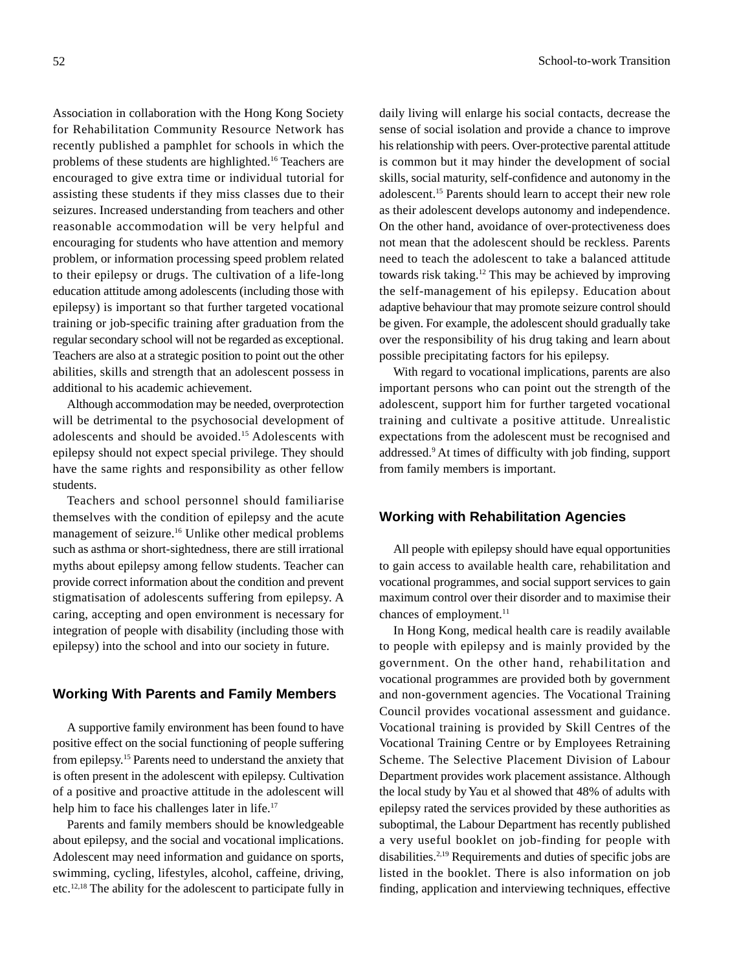Association in collaboration with the Hong Kong Society for Rehabilitation Community Resource Network has recently published a pamphlet for schools in which the problems of these students are highlighted.16 Teachers are encouraged to give extra time or individual tutorial for assisting these students if they miss classes due to their seizures. Increased understanding from teachers and other reasonable accommodation will be very helpful and encouraging for students who have attention and memory problem, or information processing speed problem related to their epilepsy or drugs. The cultivation of a life-long education attitude among adolescents (including those with epilepsy) is important so that further targeted vocational training or job-specific training after graduation from the regular secondary school will not be regarded as exceptional. Teachers are also at a strategic position to point out the other abilities, skills and strength that an adolescent possess in additional to his academic achievement.

Although accommodation may be needed, overprotection will be detrimental to the psychosocial development of adolescents and should be avoided.15 Adolescents with epilepsy should not expect special privilege. They should have the same rights and responsibility as other fellow students.

Teachers and school personnel should familiarise themselves with the condition of epilepsy and the acute management of seizure.16 Unlike other medical problems such as asthma or short-sightedness, there are still irrational myths about epilepsy among fellow students. Teacher can provide correct information about the condition and prevent stigmatisation of adolescents suffering from epilepsy. A caring, accepting and open environment is necessary for integration of people with disability (including those with epilepsy) into the school and into our society in future.

#### **Working With Parents and Family Members**

A supportive family environment has been found to have positive effect on the social functioning of people suffering from epilepsy.15 Parents need to understand the anxiety that is often present in the adolescent with epilepsy. Cultivation of a positive and proactive attitude in the adolescent will help him to face his challenges later in life.<sup>17</sup>

Parents and family members should be knowledgeable about epilepsy, and the social and vocational implications. Adolescent may need information and guidance on sports, swimming, cycling, lifestyles, alcohol, caffeine, driving, etc.12,18 The ability for the adolescent to participate fully in

daily living will enlarge his social contacts, decrease the sense of social isolation and provide a chance to improve his relationship with peers. Over-protective parental attitude is common but it may hinder the development of social skills, social maturity, self-confidence and autonomy in the adolescent.15 Parents should learn to accept their new role as their adolescent develops autonomy and independence. On the other hand, avoidance of over-protectiveness does not mean that the adolescent should be reckless. Parents need to teach the adolescent to take a balanced attitude towards risk taking.12 This may be achieved by improving the self-management of his epilepsy. Education about adaptive behaviour that may promote seizure control should be given. For example, the adolescent should gradually take over the responsibility of his drug taking and learn about possible precipitating factors for his epilepsy.

With regard to vocational implications, parents are also important persons who can point out the strength of the adolescent, support him for further targeted vocational training and cultivate a positive attitude. Unrealistic expectations from the adolescent must be recognised and addressed.9 At times of difficulty with job finding, support from family members is important.

#### **Working with Rehabilitation Agencies**

All people with epilepsy should have equal opportunities to gain access to available health care, rehabilitation and vocational programmes, and social support services to gain maximum control over their disorder and to maximise their chances of employment.<sup>11</sup>

In Hong Kong, medical health care is readily available to people with epilepsy and is mainly provided by the government. On the other hand, rehabilitation and vocational programmes are provided both by government and non-government agencies. The Vocational Training Council provides vocational assessment and guidance. Vocational training is provided by Skill Centres of the Vocational Training Centre or by Employees Retraining Scheme. The Selective Placement Division of Labour Department provides work placement assistance. Although the local study by Yau et al showed that 48% of adults with epilepsy rated the services provided by these authorities as suboptimal, the Labour Department has recently published a very useful booklet on job-finding for people with disabilities.<sup>2,19</sup> Requirements and duties of specific jobs are listed in the booklet. There is also information on job finding, application and interviewing techniques, effective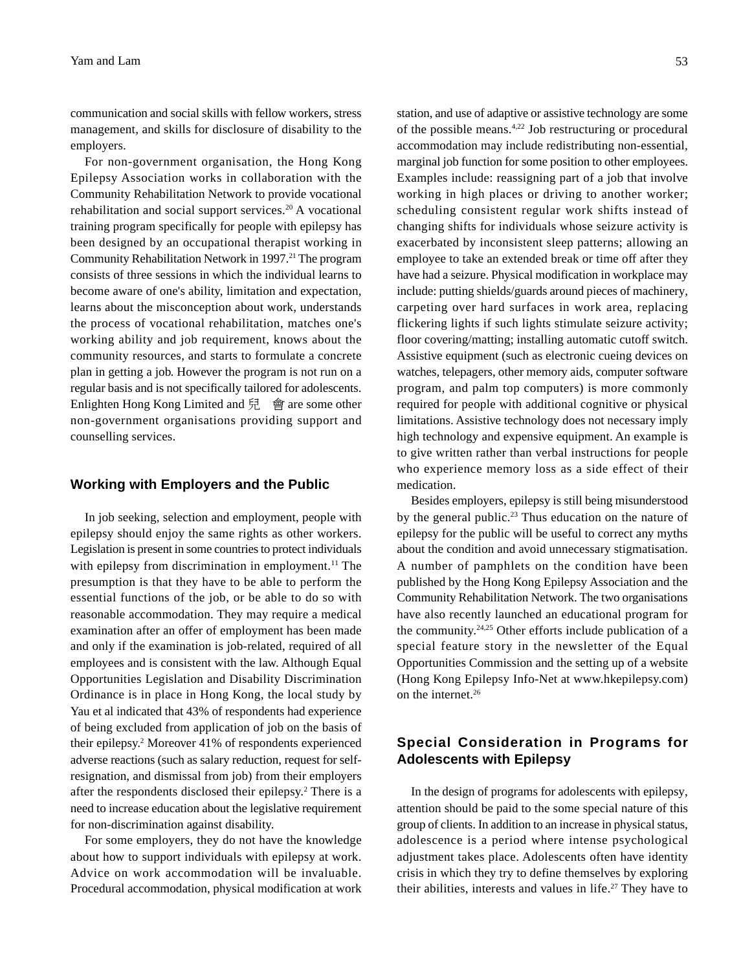communication and social skills with fellow workers, stress management, and skills for disclosure of disability to the employers.

For non-government organisation, the Hong Kong Epilepsy Association works in collaboration with the Community Rehabilitation Network to provide vocational rehabilitation and social support services.<sup>20</sup> A vocational training program specifically for people with epilepsy has been designed by an occupational therapist working in Community Rehabilitation Network in 1997.<sup>21</sup> The program consists of three sessions in which the individual learns to become aware of one's ability, limitation and expectation, learns about the misconception about work, understands the process of vocational rehabilitation, matches one's working ability and job requirement, knows about the community resources, and starts to formulate a concrete plan in getting a job. However the program is not run on a regular basis and is not specifically tailored for adolescents. Enlighten Hong Kong Limited and  $\overline{H}$   $\oplus$  are some other non-government organisations providing support and counselling services.

#### **Working with Employers and the Public**

In job seeking, selection and employment, people with epilepsy should enjoy the same rights as other workers. Legislation is present in some countries to protect individuals with epilepsy from discrimination in employment.<sup>11</sup> The presumption is that they have to be able to perform the essential functions of the job, or be able to do so with reasonable accommodation. They may require a medical examination after an offer of employment has been made and only if the examination is job-related, required of all employees and is consistent with the law. Although Equal Opportunities Legislation and Disability Discrimination Ordinance is in place in Hong Kong, the local study by Yau et al indicated that 43% of respondents had experience of being excluded from application of job on the basis of their epilepsy.2 Moreover 41% of respondents experienced adverse reactions (such as salary reduction, request for selfresignation, and dismissal from job) from their employers after the respondents disclosed their epilepsy.<sup>2</sup> There is a need to increase education about the legislative requirement for non-discrimination against disability.

For some employers, they do not have the knowledge about how to support individuals with epilepsy at work. Advice on work accommodation will be invaluable. Procedural accommodation, physical modification at work

station, and use of adaptive or assistive technology are some of the possible means.4,22 Job restructuring or procedural accommodation may include redistributing non-essential, marginal job function for some position to other employees. Examples include: reassigning part of a job that involve working in high places or driving to another worker; scheduling consistent regular work shifts instead of changing shifts for individuals whose seizure activity is exacerbated by inconsistent sleep patterns; allowing an employee to take an extended break or time off after they have had a seizure. Physical modification in workplace may include: putting shields/guards around pieces of machinery, carpeting over hard surfaces in work area, replacing flickering lights if such lights stimulate seizure activity; floor covering/matting; installing automatic cutoff switch. Assistive equipment (such as electronic cueing devices on watches, telepagers, other memory aids, computer software program, and palm top computers) is more commonly required for people with additional cognitive or physical limitations. Assistive technology does not necessary imply high technology and expensive equipment. An example is to give written rather than verbal instructions for people who experience memory loss as a side effect of their medication.

Besides employers, epilepsy is still being misunderstood by the general public.<sup>23</sup> Thus education on the nature of epilepsy for the public will be useful to correct any myths about the condition and avoid unnecessary stigmatisation. A number of pamphlets on the condition have been published by the Hong Kong Epilepsy Association and the Community Rehabilitation Network. The two organisations have also recently launched an educational program for the community.24,25 Other efforts include publication of a special feature story in the newsletter of the Equal Opportunities Commission and the setting up of a website (Hong Kong Epilepsy Info-Net at www.hkepilepsy.com) on the internet.26

# **Special Consideration in Programs for Adolescents with Epilepsy**

In the design of programs for adolescents with epilepsy, attention should be paid to the some special nature of this group of clients. In addition to an increase in physical status, adolescence is a period where intense psychological adjustment takes place. Adolescents often have identity crisis in which they try to define themselves by exploring their abilities, interests and values in life.<sup>27</sup> They have to